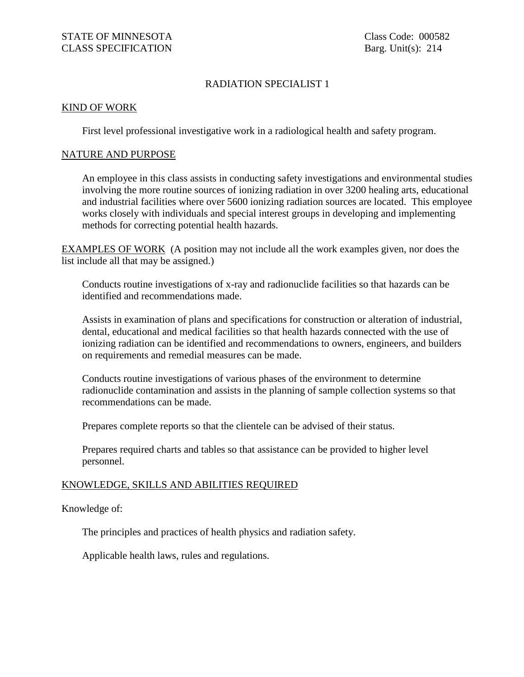## RADIATION SPECIALIST 1

## KIND OF WORK

First level professional investigative work in a radiological health and safety program.

## NATURE AND PURPOSE

An employee in this class assists in conducting safety investigations and environmental studies involving the more routine sources of ionizing radiation in over 3200 healing arts, educational and industrial facilities where over 5600 ionizing radiation sources are located. This employee works closely with individuals and special interest groups in developing and implementing methods for correcting potential health hazards.

EXAMPLES OF WORK (A position may not include all the work examples given, nor does the list include all that may be assigned.)

Conducts routine investigations of x-ray and radionuclide facilities so that hazards can be identified and recommendations made.

Assists in examination of plans and specifications for construction or alteration of industrial, dental, educational and medical facilities so that health hazards connected with the use of ionizing radiation can be identified and recommendations to owners, engineers, and builders on requirements and remedial measures can be made.

Conducts routine investigations of various phases of the environment to determine radionuclide contamination and assists in the planning of sample collection systems so that recommendations can be made.

Prepares complete reports so that the clientele can be advised of their status.

Prepares required charts and tables so that assistance can be provided to higher level personnel.

## KNOWLEDGE, SKILLS AND ABILITIES REQUIRED

Knowledge of:

The principles and practices of health physics and radiation safety.

Applicable health laws, rules and regulations.